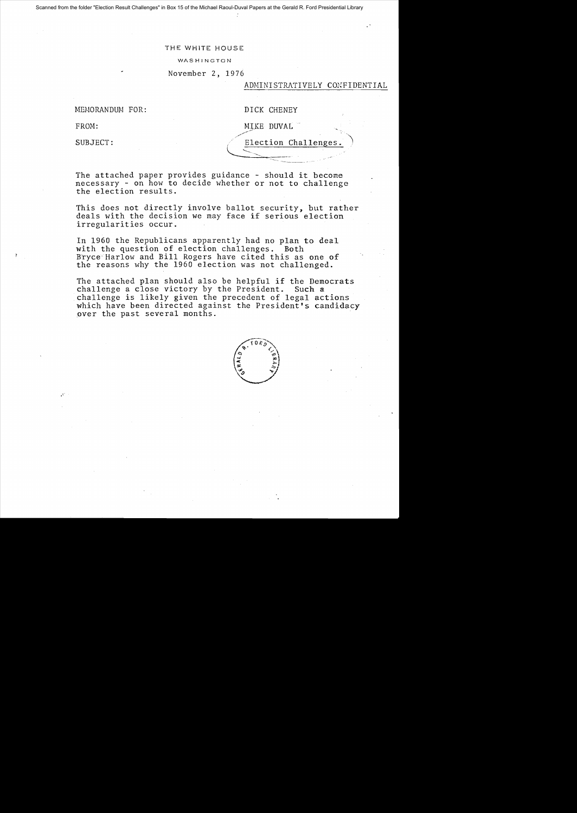Scanned from the folder "Election Result Challenges" in Box 15 of the Michael Raoul-Duval Papers at the Gerald R. Ford Presidential Library

### THE WHITE HOUSE

WASHINGTON

November 2, 1976

### ADMINISTRATIVELY CONFIDENTIAL

MEMORANDUM FOR:

FROM:

SUBJECT:

| DICK CHENEY |
|-------------|
|             |

 $\overline{\phantom{a}}$ 

MIKE DUVAL

///~

Election Challenges '-----.-~--,. , ----- - - .' .

~\_.\_~.. \_\_\_ ." *.,r* 

The attached paper provides guidance - should it become necessary - on how to decide whether or not to challenge the election results.

This does not directly involve ballot security, but rather deals with the decision we may face if serious election irregularities occur.

In 1960 the Republicans apparently had no plan to deal with the question of election challenges. Both Bryce Harlow and Bill Rogers have cited this as one of the reasons why the 1960 election was not challenged.

The attached plan should also be helpful if the Democrats challenge a close victory by the President. Such a challenge is likely given the precedent of legal actions which have been directed against the President's candidacy over the past several months.

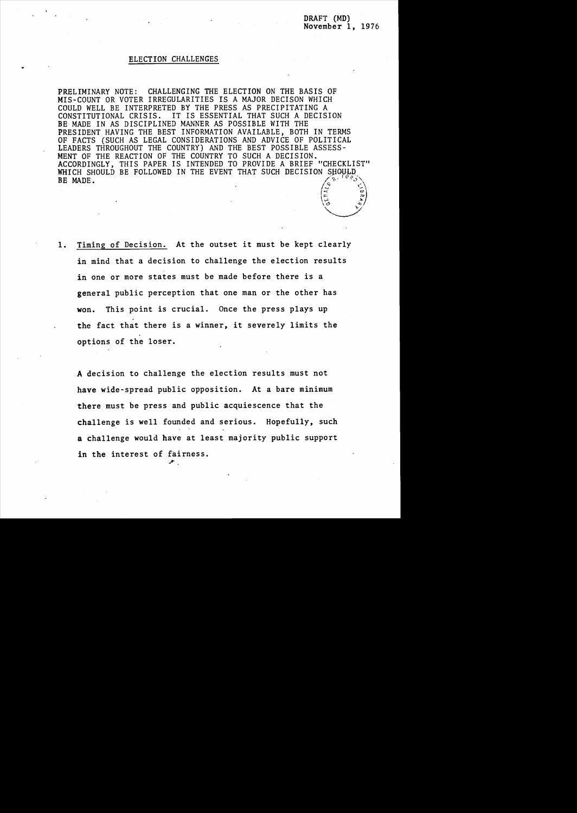$\vec{x}$   $\vec{w}$  $\sqrt{\frac{6}{12}}$  $\frac{1}{2}$ 

### ELECTION CHALLENGES

PRELIMINARY NOTE: CHALLENGING THE ELECTION ON THE BASIS OF MIS-COUNT OR VOTER IRREGULARITIES IS A MAJOR DECISON WHICH COULD WELL BE INTERPRETED BY THE PRESS AS PRECIPITATING A CONSTITUTIONAL CRISIS. IT IS ESSENTIAL THAT SUCH A DECISION BE MADE IN AS DISCIPLINED MANNER AS POSSIBLE WITH THE PRESIDENT HAVING THE BEST INFORMATION AVAILABLE, BOTH IN TERMS OF FACTS (SUCH AS LEGAL CONSIDERATIONS AND ADVICE OF POLITICAL LEADERS THROUGHOUT THE COUNTRY) AND THE BEST POSSIBLE ASSESS-MENT OF THE REACTION OF THE COUNTRY TO SUCH A DECISION. ACCORDINGLY, THIS PAPER IS INTENDED TO PROVIDE A BRIEF "CHECKLIST" WHICH SHOULD BE FOLLOWED IN THE EVENT THAT SUCH DECISION SHOULD BE MADE. • (a)  $\sqrt{2}$  , and  $\sqrt{2}$  , and  $\sqrt{2}$  , and  $\sqrt{2}$  , and  $\sqrt{2}$  , and  $\sqrt{2}$  , and  $\sqrt{2}$  , and  $\sqrt{2}$  , and  $\sqrt{2}$  , and  $\sqrt{2}$  , and  $\sqrt{2}$  , and  $\sqrt{2}$  , and  $\sqrt{2}$  , and  $\sqrt{2}$  , and  $\sqrt{2}$  , and  $\sqrt{2$ 

1. Timing of Decision. At the outset it must be kept clearly in mind that a decision to challenge the election results in one or more states must be made before there is a general public perception that one man or the other has won. This point is crucial. Once the press plays up the fact that there is a winner, it severely limits the options of the loser.

A decision to challenge the election results must not have wide-spread public opposition. At a bare minimum there must be press and public acquiescence that the challenge is well founded and serious. Hopefully, such a challenge would have at least majority public support in the interest of fairness. ~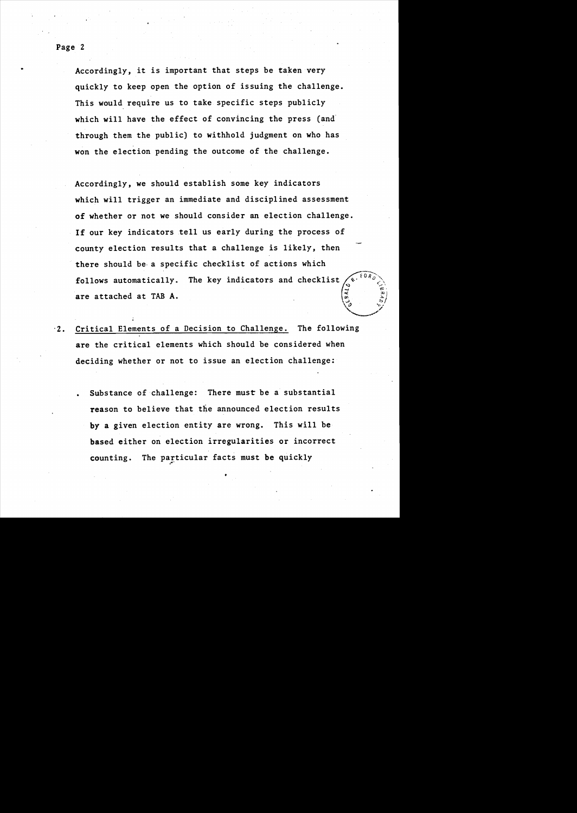Accordingly, it is important that steps be taken very quickly to keep open the option of issuing the challenge. This would require us to take specific steps publicly which will have the effect of convincing the press (and through them the public) to withhold judgment on who has won the election pending the outcome of the challenge.

Accordingly, we should establish some key indicators which will trigger an immediate and disciplined assessment of whether or not we should consider an election challenge. If our key indicators tell us early during the process of county election results that a challenge is likely, then there should be· a specific checklist of actions which follows automatically. The key indicators and checklist are attached at TAB A. **4.4.4 AMERICAN** 

 $\setminus$ o

.<br>مرية

- .2. Critical Elements of a Decision to Challenge. The following are the critical elements which should be considered when deciding whether or not to issue an election challenge:
	- Substance of challenge: There must be a substantial reason to believe that the announced election results by a given election entity are wrong. This will be based either on election irregularities or incorrect counting. The particular facts must be quickly

Page 2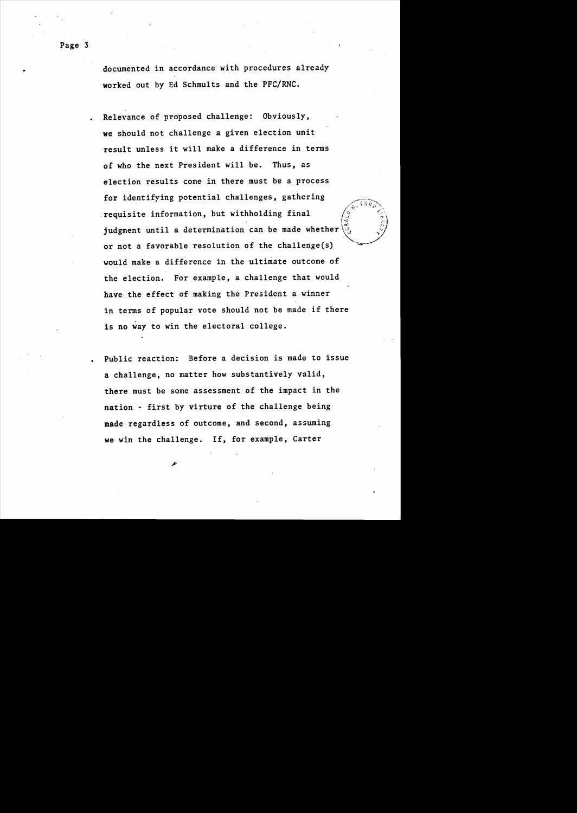documented in accordance with procedures already worked out by Ed Schmults and the PFC/RNC.

Relevance of proposed challenge: Obviously, we should not challenge a given election unit result unless it will make a difference in terms of who the next President will be. Thus, as election results come in there must be a process for identifying potential challenges, gathering requisite information, but withholding final judgment until a determination can be made whether or not a favorable resolution of the challenge(s) would make a difference in the ultimate outcome of the election. For example, a challenge that would have the effect of making the President a winner in terms of popular vote should not be made if there is no way to win the electoral college.

 $"$  for  $\sim$ 

li )<br>:<br>::...

Public reaction: Before a decision is made to issue a challenge, no matter how substantively valid, there must be some assessment of the impact in the nation - first by virture of the challenge being made regardless of outcome, and second, assuming we win the challenge. If, for example, Carter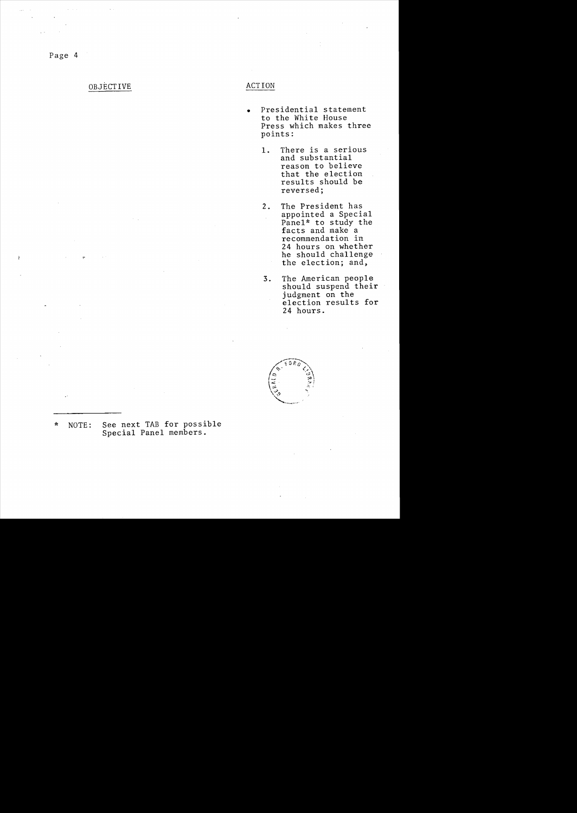Page 4

## OBJECTIVE ACTION

- Presidential statement to the White House Press which makes three points:
	- 1. There is a serious and substantial reason to believe that the election results should be reversed;
	- 2. The President has appointed a Special Pane1\* to study the facts and make a recommendation in 24 hours on whether he should challenge the election; and,
	- 3. The American people should suspend their judgment on the election results for 24 hours.



\* NOTE: See next TAB for possible Special Panel members.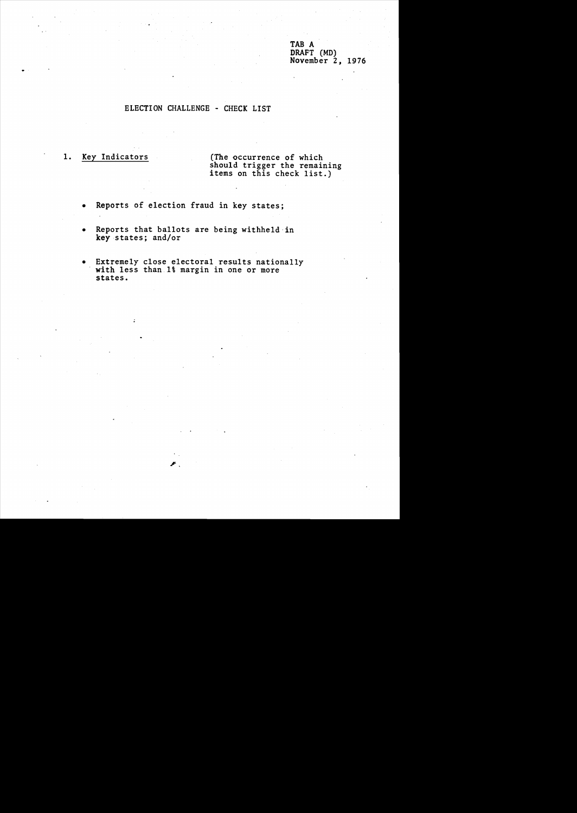TAB A DRAFT (MD) November 2, 1976

### ELECTION CHALLENGE - CHECK LIST

1. Key Indicators (The occurrence of which should trigger the remaining items on this check list.)

- Reports of election fraud in key states;
- Reports that ballots are being withheld in key states; and/or
- Extremely close electoral results nationally with less than 1% margin in one or more states.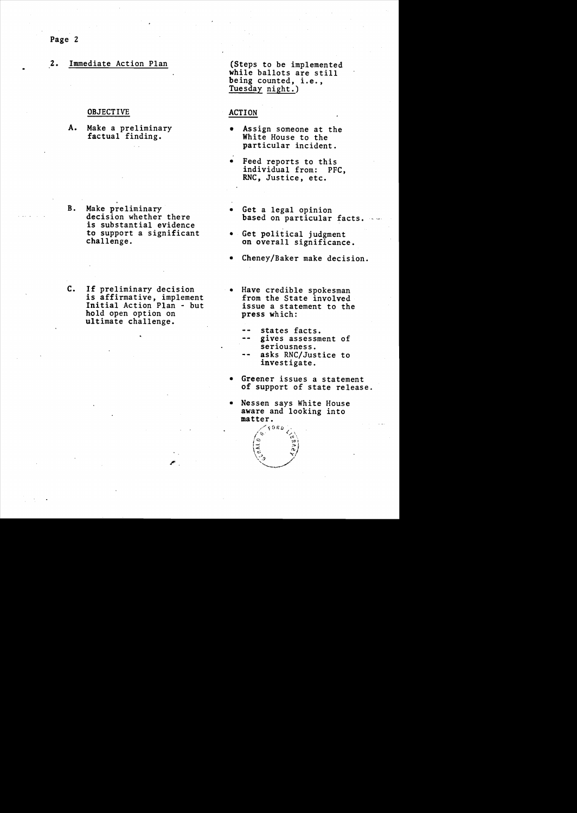Page 2

## 2. Immediate Action Plan (Steps to be implemented

## OBJECTIVE ACTION

A. Make a preliminary factual finding.

while ballots are still being counted, i.e., Tuesday night.)

- Assign someone at the White House to the particular incident.
- Feed reports to this individual from: PFC, RNC, Justice, etc.
- B. Make preliminary decision whether there is substantial evidence to support a significant challenge.
- C. If preliminary decision is affirmative, implement Initial Action Plan - but hold open option on ultimate challenge.
- Get a legal opinion<br>based on particular facts.
- Get political judgment on overall significance.
- Cheney/Baker make decision.
- Have credible spokesman<br>from the State involved issue a statement to the press which:
	- states facts.
	- gives assessment of seriousness.
	- asks RNC/Justice to investigate.
- Greener issues a statement of support of state release.
- Nessen says White House aware and looking into matter.

່ວ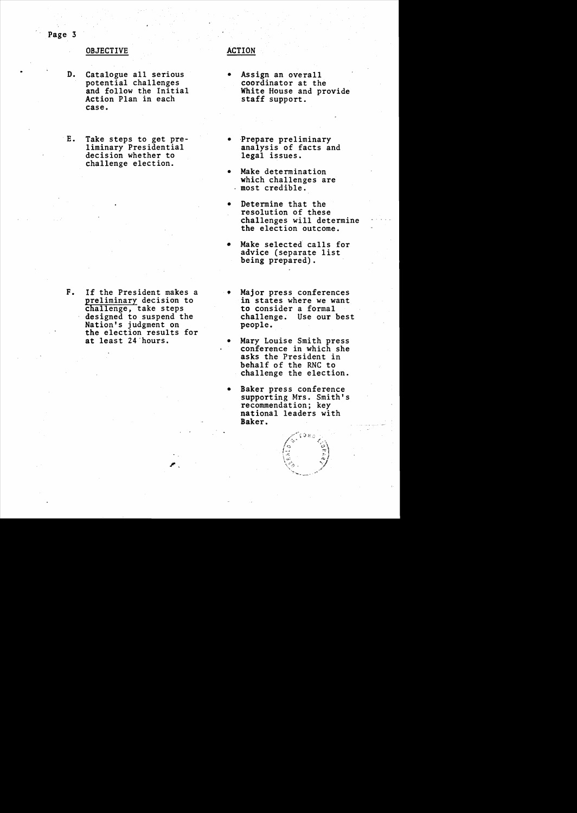### OBJECTIVE ACTION

- D. Catalogue all serious potential challenges and follow the Initial Action Plan in each case.
- E. Take steps to get preliminary Presidential decision whether to challenge election.

F. If the President makes a preliminary decision to challenge, take steps designed to suspend the Nation's judgment on the election results for at least 24"hours.

- Assign an overall coordinator at the White House and provide staff support.
- Prepare preliminary<br>analysis of facts and legal issues.
- Make determination which challenges are most credible.
- Determine that the resolution of these challenges will determine the election outcome.
- Make selected calls for advice (separate list being prepared).
- Major press conferences in states where we want to consider a formal challenge. Use our best people.
- Mary Louise Smith press<br>conference in which she asks the President in behalf of the RNC to challenge the election.
- Baker press conference supporting Mrs. Smith's recommendation; key national leaders with Baker.

Page 3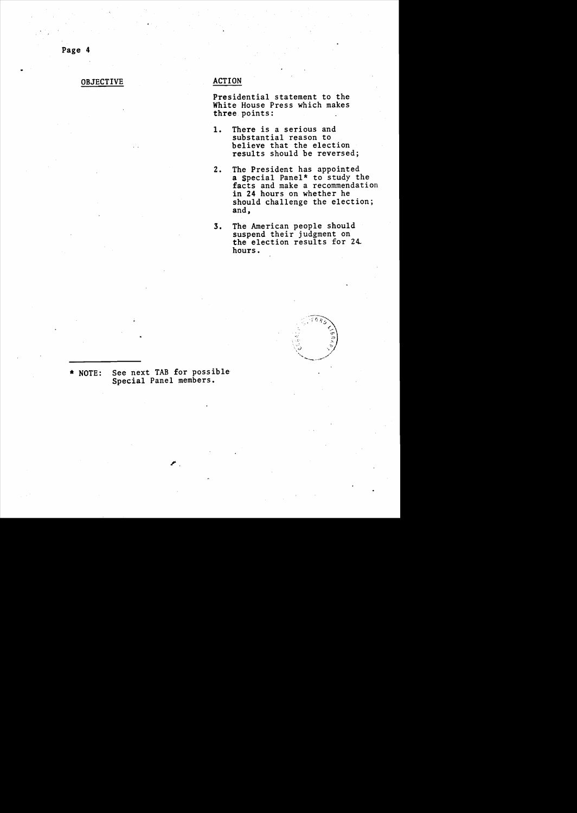Page 4

# OBJECTIVE ACTION

Presidential statement to the White House Press which makes three points:

- 1. There is a serious and substantial reason to believe that the election results should be reversed;
- 2. The President has appointed a special Panel\* to study the facts and make a recommendation in 24 hours on whether he should challenge the election; and,
- 3. The American people should suspend their judgment on the election results for 24 hours.



\* NOTE: See next TAB for possible Special Panel members.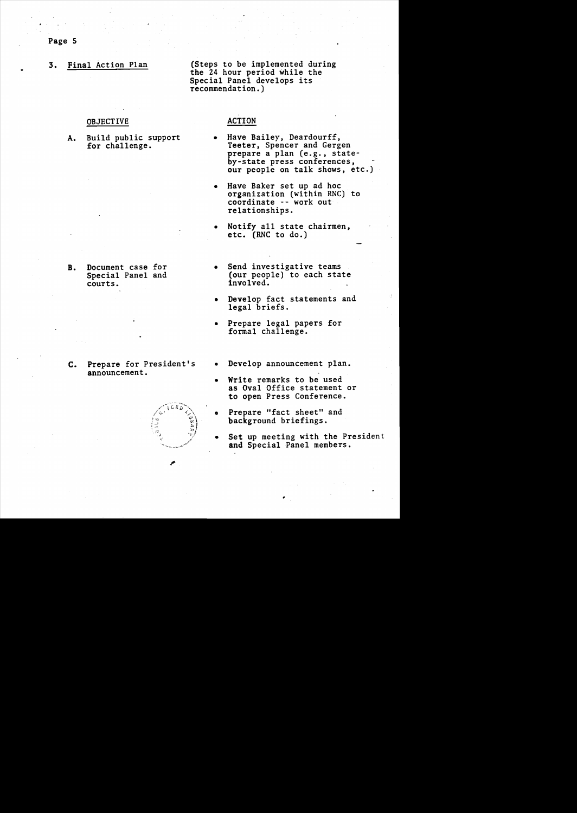3. Final Action Plan (Steps to be implemented during the 24 hour period while the Special Panel develops its recommendation.)

### OBJECTIVE

A. Build public support<br>for challenge.

B. Document case for Special Panel and

courts.

# ACTION

- Have Bailey, Deardourff, Teeter, Spencer and Gergen prepare a plan (e.g., stateby-state press conferences, our people on talk shows, etc.)
- Have Baker set up ad hoc organization (within RNC) to coordinate -- work out relationships.
- Notify all state chairmen, etc. (RNC to do.)
- Send investigative teams (our people) to each state involved.
- Develop fact statements and legal briefs.
- Prepare legal papers for formal challenge.
- c. Prepare for President's announcement.



- Develop announcement plan.
- Write remarks to be used as Oval Office statement or to open Press Conference.
- Prepare "fact sheet" and background briefings.

•

Set up meeting with the President and Special Panel members.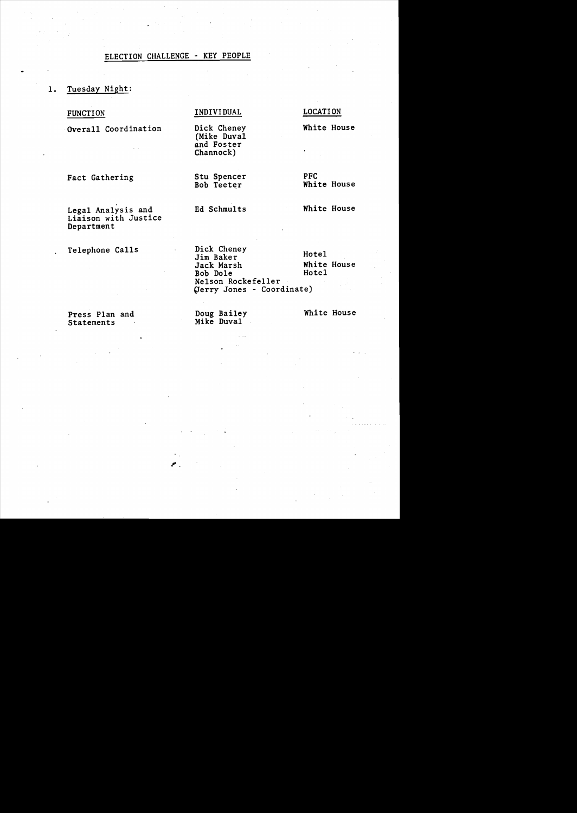# ELECTION CHALLENGE - KEY PEOPLE

- 1. Tuesday Night:
	- FUNCTION

INDIVIDUAL LOCATION

Dick Cheney White House

(Mike Duval and Foster Channock)

Fact Gathering

Stu Spencer PFC<br>
Bob Teeter Whit

White House

Legal Analysis and Liaison with Justice Department

Overall Coordination

Telephone Calls

Dick Cheney<br>
Jim Baker Hotel<br>
Jack Marsh White House Jack Marsh White<br>
Bob Dole<br>
Hotel Bob Dole Nelson Rockefeller perry Jones - Coordinate)

Press Plan and **Statements** 

Doug Bailey White House Mike Duval

# Ed Schmults White House